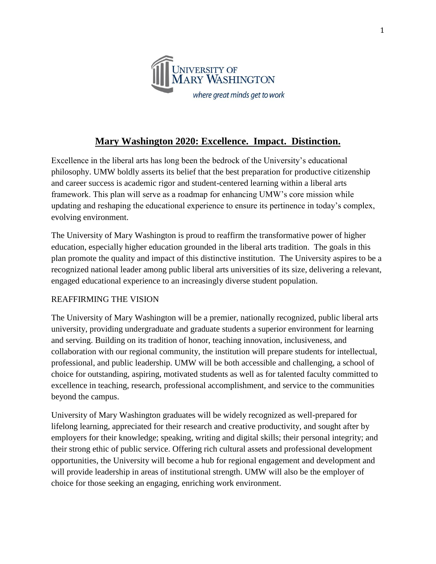

# **Mary Washington 2020: Excellence. Impact. Distinction.**

Excellence in the liberal arts has long been the bedrock of the University's educational philosophy. UMW boldly asserts its belief that the best preparation for productive citizenship and career success is academic rigor and student-centered learning within a liberal arts framework. This plan will serve as a roadmap for enhancing UMW's core mission while updating and reshaping the educational experience to ensure its pertinence in today's complex, evolving environment.

The University of Mary Washington is proud to reaffirm the transformative power of higher education, especially higher education grounded in the liberal arts tradition. The goals in this plan promote the quality and impact of this distinctive institution. The University aspires to be a recognized national leader among public liberal arts universities of its size, delivering a relevant, engaged educational experience to an increasingly diverse student population.

### REAFFIRMING THE VISION

The University of Mary Washington will be a premier, nationally recognized, public liberal arts university, providing undergraduate and graduate students a superior environment for learning and serving. Building on its tradition of honor, teaching innovation, inclusiveness, and collaboration with our regional community, the institution will prepare students for intellectual, professional, and public leadership. UMW will be both accessible and challenging, a school of choice for outstanding, aspiring, motivated students as well as for talented faculty committed to excellence in teaching, research, professional accomplishment, and service to the communities beyond the campus.

University of Mary Washington graduates will be widely recognized as well-prepared for lifelong learning, appreciated for their research and creative productivity, and sought after by employers for their knowledge; speaking, writing and digital skills; their personal integrity; and their strong ethic of public service. Offering rich cultural assets and professional development opportunities, the University will become a hub for regional engagement and development and will provide leadership in areas of institutional strength. UMW will also be the employer of choice for those seeking an engaging, enriching work environment.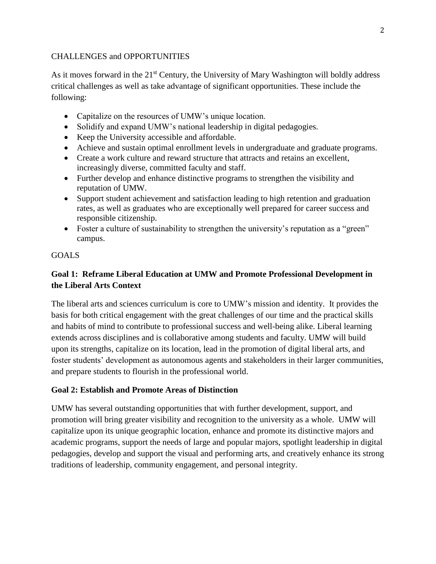### CHALLENGES and OPPORTUNITIES

As it moves forward in the 21<sup>st</sup> Century, the University of Mary Washington will boldly address critical challenges as well as take advantage of significant opportunities. These include the following:

- Capitalize on the resources of UMW's unique location.
- Solidify and expand UMW's national leadership in digital pedagogies.
- Keep the University accessible and affordable.
- Achieve and sustain optimal enrollment levels in undergraduate and graduate programs.
- Create a work culture and reward structure that attracts and retains an excellent, increasingly diverse, committed faculty and staff.
- Further develop and enhance distinctive programs to strengthen the visibility and reputation of UMW.
- Support student achievement and satisfaction leading to high retention and graduation rates, as well as graduates who are exceptionally well prepared for career success and responsible citizenship.
- Foster a culture of sustainability to strengthen the university's reputation as a "green" campus.

### GOALS

# **Goal 1: Reframe Liberal Education at UMW and Promote Professional Development in the Liberal Arts Context**

The liberal arts and sciences curriculum is core to UMW's mission and identity. It provides the basis for both critical engagement with the great challenges of our time and the practical skills and habits of mind to contribute to professional success and well-being alike. Liberal learning extends across disciplines and is collaborative among students and faculty. UMW will build upon its strengths, capitalize on its location, lead in the promotion of digital liberal arts, and foster students' development as autonomous agents and stakeholders in their larger communities, and prepare students to flourish in the professional world.

## **Goal 2: Establish and Promote Areas of Distinction**

UMW has several outstanding opportunities that with further development, support, and promotion will bring greater visibility and recognition to the university as a whole. UMW will capitalize upon its unique geographic location, enhance and promote its distinctive majors and academic programs, support the needs of large and popular majors, spotlight leadership in digital pedagogies, develop and support the visual and performing arts, and creatively enhance its strong traditions of leadership, community engagement, and personal integrity.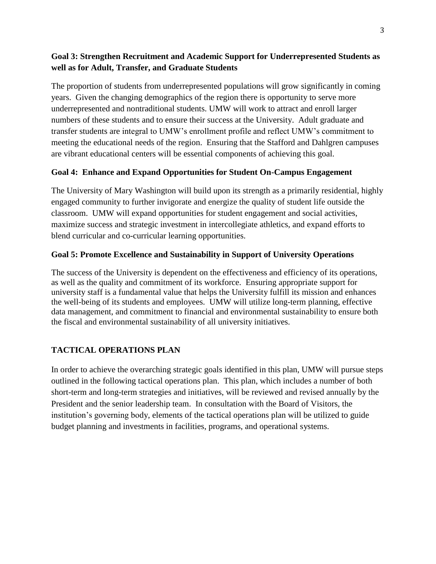## **Goal 3: Strengthen Recruitment and Academic Support for Underrepresented Students as well as for Adult, Transfer, and Graduate Students**

The proportion of students from underrepresented populations will grow significantly in coming years. Given the changing demographics of the region there is opportunity to serve more underrepresented and nontraditional students. UMW will work to attract and enroll larger numbers of these students and to ensure their success at the University. Adult graduate and transfer students are integral to UMW's enrollment profile and reflect UMW's commitment to meeting the educational needs of the region. Ensuring that the Stafford and Dahlgren campuses are vibrant educational centers will be essential components of achieving this goal.

## **Goal 4: Enhance and Expand Opportunities for Student On-Campus Engagement**

The University of Mary Washington will build upon its strength as a primarily residential, highly engaged community to further invigorate and energize the quality of student life outside the classroom. UMW will expand opportunities for student engagement and social activities, maximize success and strategic investment in intercollegiate athletics, and expand efforts to blend curricular and co-curricular learning opportunities.

## **Goal 5: Promote Excellence and Sustainability in Support of University Operations**

The success of the University is dependent on the effectiveness and efficiency of its operations, as well as the quality and commitment of its workforce. Ensuring appropriate support for university staff is a fundamental value that helps the University fulfill its mission and enhances the well-being of its students and employees. UMW will utilize long-term planning, effective data management, and commitment to financial and environmental sustainability to ensure both the fiscal and environmental sustainability of all university initiatives.

## **TACTICAL OPERATIONS PLAN**

In order to achieve the overarching strategic goals identified in this plan, UMW will pursue steps outlined in the following tactical operations plan. This plan, which includes a number of both short-term and long-term strategies and initiatives, will be reviewed and revised annually by the President and the senior leadership team. In consultation with the Board of Visitors, the institution's governing body, elements of the tactical operations plan will be utilized to guide budget planning and investments in facilities, programs, and operational systems.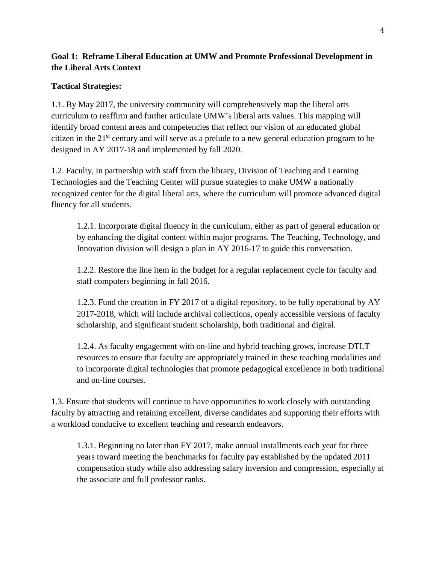## **Goal 1: Reframe Liberal Education at UMW and Promote Professional Development in the Liberal Arts Context**

## **Tactical Strategies:**

1.1. By May 2017, the university community will comprehensively map the liberal arts curriculum to reaffirm and further articulate UMW's liberal arts values. This mapping will identify broad content areas and competencies that reflect our vision of an educated global citizen in the 21st century and will serve as a prelude to a new general education program to be designed in AY 2017-18 and implemented by fall 2020.

1.2. Faculty, in partnership with staff from the library, Division of Teaching and Learning Technologies and the Teaching Center will pursue strategies to make UMW a nationally recognized center for the digital liberal arts, where the curriculum will promote advanced digital fluency for all students.

1.2.1. Incorporate digital fluency in the curriculum, either as part of general education or by enhancing the digital content within major programs. The Teaching, Technology, and Innovation division will design a plan in AY 2016-17 to guide this conversation.

1.2.2. Restore the line item in the budget for a regular replacement cycle for faculty and staff computers beginning in fall 2016.

1.2.3. Fund the creation in FY 2017 of a digital repository, to be fully operational by AY 2017-2018, which will include archival collections, openly accessible versions of faculty scholarship, and significant student scholarship, both traditional and digital.

1.2.4. As faculty engagement with on-line and hybrid teaching grows, increase DTLT resources to ensure that faculty are appropriately trained in these teaching modalities and to incorporate digital technologies that promote pedagogical excellence in both traditional and on-line courses.

1.3. Ensure that students will continue to have opportunities to work closely with outstanding faculty by attracting and retaining excellent, diverse candidates and supporting their efforts with a workload conducive to excellent teaching and research endeavors.

1.3.1. Beginning no later than FY 2017, make annual installments each year for three years toward meeting the benchmarks for faculty pay established by the updated 2011 compensation study while also addressing salary inversion and compression, especially at the associate and full professor ranks.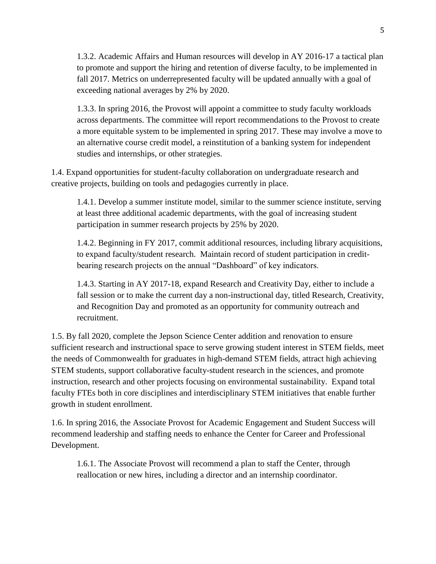1.3.2. Academic Affairs and Human resources will develop in AY 2016-17 a tactical plan to promote and support the hiring and retention of diverse faculty, to be implemented in fall 2017. Metrics on underrepresented faculty will be updated annually with a goal of exceeding national averages by 2% by 2020.

1.3.3. In spring 2016, the Provost will appoint a committee to study faculty workloads across departments. The committee will report recommendations to the Provost to create a more equitable system to be implemented in spring 2017. These may involve a move to an alternative course credit model, a reinstitution of a banking system for independent studies and internships, or other strategies.

1.4. Expand opportunities for student-faculty collaboration on undergraduate research and creative projects, building on tools and pedagogies currently in place.

1.4.1. Develop a summer institute model, similar to the summer science institute, serving at least three additional academic departments, with the goal of increasing student participation in summer research projects by 25% by 2020.

1.4.2. Beginning in FY 2017, commit additional resources, including library acquisitions, to expand faculty/student research. Maintain record of student participation in creditbearing research projects on the annual "Dashboard" of key indicators.

1.4.3. Starting in AY 2017-18, expand Research and Creativity Day, either to include a fall session or to make the current day a non-instructional day, titled Research, Creativity, and Recognition Day and promoted as an opportunity for community outreach and recruitment.

1.5. By fall 2020, complete the Jepson Science Center addition and renovation to ensure sufficient research and instructional space to serve growing student interest in STEM fields, meet the needs of Commonwealth for graduates in high-demand STEM fields, attract high achieving STEM students, support collaborative faculty-student research in the sciences, and promote instruction, research and other projects focusing on environmental sustainability. Expand total faculty FTEs both in core disciplines and interdisciplinary STEM initiatives that enable further growth in student enrollment.

1.6. In spring 2016, the Associate Provost for Academic Engagement and Student Success will recommend leadership and staffing needs to enhance the Center for Career and Professional Development.

1.6.1. The Associate Provost will recommend a plan to staff the Center, through reallocation or new hires, including a director and an internship coordinator.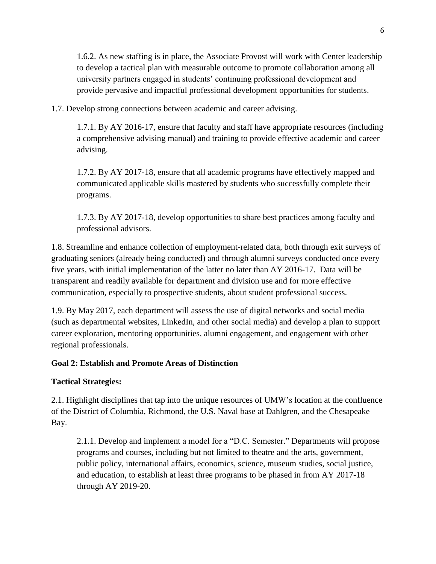1.6.2. As new staffing is in place, the Associate Provost will work with Center leadership to develop a tactical plan with measurable outcome to promote collaboration among all university partners engaged in students' continuing professional development and provide pervasive and impactful professional development opportunities for students.

1.7. Develop strong connections between academic and career advising.

1.7.1. By AY 2016-17, ensure that faculty and staff have appropriate resources (including a comprehensive advising manual) and training to provide effective academic and career advising.

1.7.2. By AY 2017-18, ensure that all academic programs have effectively mapped and communicated applicable skills mastered by students who successfully complete their programs.

1.7.3. By AY 2017-18, develop opportunities to share best practices among faculty and professional advisors.

1.8. Streamline and enhance collection of employment-related data, both through exit surveys of graduating seniors (already being conducted) and through alumni surveys conducted once every five years, with initial implementation of the latter no later than AY 2016-17. Data will be transparent and readily available for department and division use and for more effective communication, especially to prospective students, about student professional success.

1.9. By May 2017, each department will assess the use of digital networks and social media (such as departmental websites, LinkedIn, and other social media) and develop a plan to support career exploration, mentoring opportunities, alumni engagement, and engagement with other regional professionals.

### **Goal 2: Establish and Promote Areas of Distinction**

### **Tactical Strategies:**

2.1. Highlight disciplines that tap into the unique resources of UMW's location at the confluence of the District of Columbia, Richmond, the U.S. Naval base at Dahlgren, and the Chesapeake Bay.

2.1.1. Develop and implement a model for a "D.C. Semester." Departments will propose programs and courses, including but not limited to theatre and the arts, government, public policy, international affairs, economics, science, museum studies, social justice, and education, to establish at least three programs to be phased in from AY 2017-18 through AY 2019-20.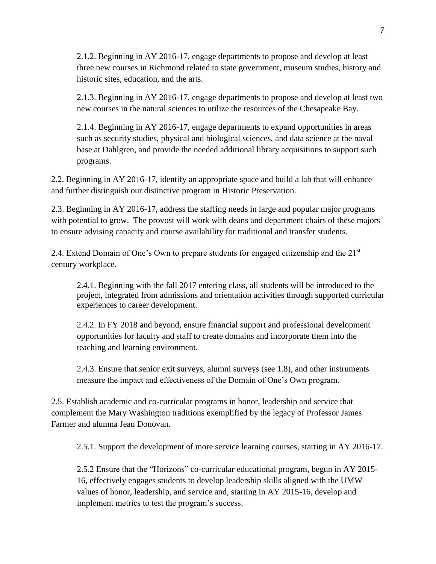2.1.2. Beginning in AY 2016-17, engage departments to propose and develop at least three new courses in Richmond related to state government, museum studies, history and historic sites, education, and the arts.

2.1.3. Beginning in AY 2016-17, engage departments to propose and develop at least two new courses in the natural sciences to utilize the resources of the Chesapeake Bay.

2.1.4. Beginning in AY 2016-17, engage departments to expand opportunities in areas such as security studies, physical and biological sciences, and data science at the naval base at Dahlgren, and provide the needed additional library acquisitions to support such programs.

2.2. Beginning in AY 2016-17, identify an appropriate space and build a lab that will enhance and further distinguish our distinctive program in Historic Preservation.

2.3. Beginning in AY 2016-17, address the staffing needs in large and popular major programs with potential to grow. The provost will work with deans and department chairs of these majors to ensure advising capacity and course availability for traditional and transfer students.

2.4. Extend Domain of One's Own to prepare students for engaged citizenship and the 21<sup>st</sup> century workplace.

2.4.1. Beginning with the fall 2017 entering class, all students will be introduced to the project, integrated from admissions and orientation activities through supported curricular experiences to career development.

2.4.2. In FY 2018 and beyond, ensure financial support and professional development opportunities for faculty and staff to create domains and incorporate them into the teaching and learning environment.

2.4.3. Ensure that senior exit surveys, alumni surveys (see 1.8), and other instruments measure the impact and effectiveness of the Domain of One's Own program.

2.5. Establish academic and co-curricular programs in honor, leadership and service that complement the Mary Washington traditions exemplified by the legacy of Professor James Farmer and alumna Jean Donovan.

2.5.1. Support the development of more service learning courses, starting in AY 2016-17.

2.5.2 Ensure that the "Horizons" co-curricular educational program, begun in AY 2015- 16, effectively engages students to develop leadership skills aligned with the UMW values of honor, leadership, and service and, starting in AY 2015-16, develop and implement metrics to test the program's success.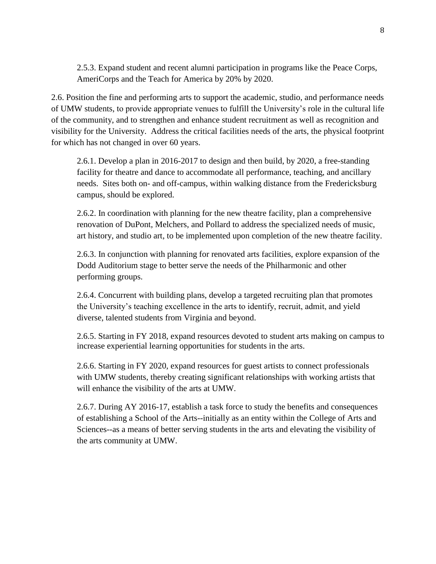2.5.3. Expand student and recent alumni participation in programs like the Peace Corps, AmeriCorps and the Teach for America by 20% by 2020.

2.6. Position the fine and performing arts to support the academic, studio, and performance needs of UMW students, to provide appropriate venues to fulfill the University's role in the cultural life of the community, and to strengthen and enhance student recruitment as well as recognition and visibility for the University. Address the critical facilities needs of the arts, the physical footprint for which has not changed in over 60 years.

2.6.1. Develop a plan in 2016-2017 to design and then build, by 2020, a free-standing facility for theatre and dance to accommodate all performance, teaching, and ancillary needs. Sites both on- and off-campus, within walking distance from the Fredericksburg campus, should be explored.

2.6.2. In coordination with planning for the new theatre facility, plan a comprehensive renovation of DuPont, Melchers, and Pollard to address the specialized needs of music, art history, and studio art, to be implemented upon completion of the new theatre facility.

2.6.3. In conjunction with planning for renovated arts facilities, explore expansion of the Dodd Auditorium stage to better serve the needs of the Philharmonic and other performing groups.

2.6.4. Concurrent with building plans, develop a targeted recruiting plan that promotes the University's teaching excellence in the arts to identify, recruit, admit, and yield diverse, talented students from Virginia and beyond.

2.6.5. Starting in FY 2018, expand resources devoted to student arts making on campus to increase experiential learning opportunities for students in the arts.

2.6.6. Starting in FY 2020, expand resources for guest artists to connect professionals with UMW students, thereby creating significant relationships with working artists that will enhance the visibility of the arts at UMW.

2.6.7. During AY 2016-17, establish a task force to study the benefits and consequences of establishing a School of the Arts--initially as an entity within the College of Arts and Sciences--as a means of better serving students in the arts and elevating the visibility of the arts community at UMW.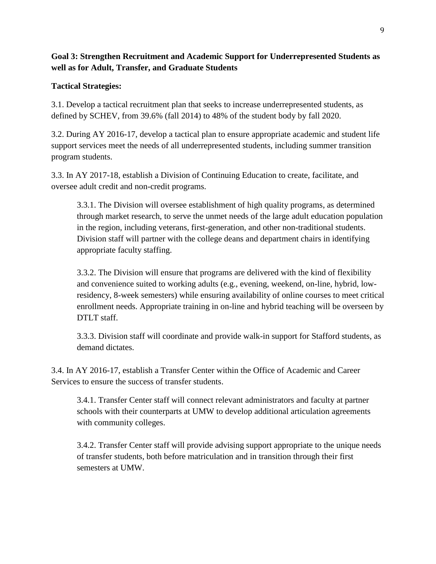**Goal 3: Strengthen Recruitment and Academic Support for Underrepresented Students as well as for Adult, Transfer, and Graduate Students** 

## **Tactical Strategies:**

3.1. Develop a tactical recruitment plan that seeks to increase underrepresented students, as defined by SCHEV, from 39.6% (fall 2014) to 48% of the student body by fall 2020.

3.2. During AY 2016-17, develop a tactical plan to ensure appropriate academic and student life support services meet the needs of all underrepresented students, including summer transition program students.

3.3. In AY 2017-18, establish a Division of Continuing Education to create, facilitate, and oversee adult credit and non-credit programs.

3.3.1. The Division will oversee establishment of high quality programs, as determined through market research, to serve the unmet needs of the large adult education population in the region, including veterans, first-generation, and other non-traditional students. Division staff will partner with the college deans and department chairs in identifying appropriate faculty staffing.

3.3.2. The Division will ensure that programs are delivered with the kind of flexibility and convenience suited to working adults (e.g., evening, weekend, on-line, hybrid, lowresidency, 8-week semesters) while ensuring availability of online courses to meet critical enrollment needs. Appropriate training in on-line and hybrid teaching will be overseen by DTLT staff.

3.3.3. Division staff will coordinate and provide walk-in support for Stafford students, as demand dictates.

3.4. In AY 2016-17, establish a Transfer Center within the Office of Academic and Career Services to ensure the success of transfer students.

3.4.1. Transfer Center staff will connect relevant administrators and faculty at partner schools with their counterparts at UMW to develop additional articulation agreements with community colleges.

3.4.2. Transfer Center staff will provide advising support appropriate to the unique needs of transfer students, both before matriculation and in transition through their first semesters at UMW.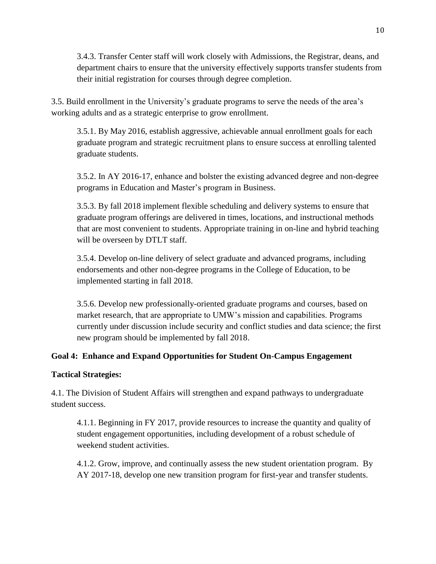3.4.3. Transfer Center staff will work closely with Admissions, the Registrar, deans, and department chairs to ensure that the university effectively supports transfer students from their initial registration for courses through degree completion.

3.5. Build enrollment in the University's graduate programs to serve the needs of the area's working adults and as a strategic enterprise to grow enrollment.

3.5.1. By May 2016, establish aggressive, achievable annual enrollment goals for each graduate program and strategic recruitment plans to ensure success at enrolling talented graduate students.

3.5.2. In AY 2016-17, enhance and bolster the existing advanced degree and non-degree programs in Education and Master's program in Business.

3.5.3. By fall 2018 implement flexible scheduling and delivery systems to ensure that graduate program offerings are delivered in times, locations, and instructional methods that are most convenient to students. Appropriate training in on-line and hybrid teaching will be overseen by DTLT staff.

3.5.4. Develop on-line delivery of select graduate and advanced programs, including endorsements and other non-degree programs in the College of Education, to be implemented starting in fall 2018.

3.5.6. Develop new professionally-oriented graduate programs and courses, based on market research, that are appropriate to UMW's mission and capabilities. Programs currently under discussion include security and conflict studies and data science; the first new program should be implemented by fall 2018.

## **Goal 4: Enhance and Expand Opportunities for Student On-Campus Engagement**

## **Tactical Strategies:**

4.1. The Division of Student Affairs will strengthen and expand pathways to undergraduate student success.

4.1.1. Beginning in FY 2017, provide resources to increase the quantity and quality of student engagement opportunities, including development of a robust schedule of weekend student activities.

4.1.2. Grow, improve, and continually assess the new student orientation program. By AY 2017-18, develop one new transition program for first-year and transfer students.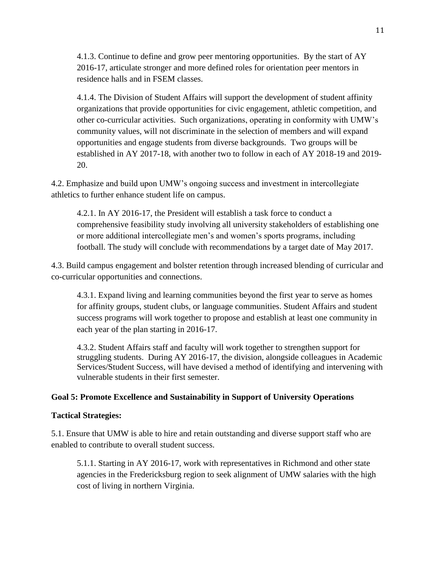4.1.3. Continue to define and grow peer mentoring opportunities. By the start of AY 2016-17, articulate stronger and more defined roles for orientation peer mentors in residence halls and in FSEM classes.

4.1.4. The Division of Student Affairs will support the development of student affinity organizations that provide opportunities for civic engagement, athletic competition, and other co-curricular activities. Such organizations, operating in conformity with UMW's community values, will not discriminate in the selection of members and will expand opportunities and engage students from diverse backgrounds. Two groups will be established in AY 2017-18, with another two to follow in each of AY 2018-19 and 2019- 20.

4.2. Emphasize and build upon UMW's ongoing success and investment in intercollegiate athletics to further enhance student life on campus.

4.2.1. In AY 2016-17, the President will establish a task force to conduct a comprehensive feasibility study involving all university stakeholders of establishing one or more additional intercollegiate men's and women's sports programs, including football. The study will conclude with recommendations by a target date of May 2017.

4.3. Build campus engagement and bolster retention through increased blending of curricular and co-curricular opportunities and connections.

4.3.1. Expand living and learning communities beyond the first year to serve as homes for affinity groups, student clubs, or language communities. Student Affairs and student success programs will work together to propose and establish at least one community in each year of the plan starting in 2016-17.

4.3.2. Student Affairs staff and faculty will work together to strengthen support for struggling students. During AY 2016-17, the division, alongside colleagues in Academic Services/Student Success, will have devised a method of identifying and intervening with vulnerable students in their first semester.

## **Goal 5: Promote Excellence and Sustainability in Support of University Operations**

### **Tactical Strategies:**

5.1. Ensure that UMW is able to hire and retain outstanding and diverse support staff who are enabled to contribute to overall student success.

5.1.1. Starting in AY 2016-17, work with representatives in Richmond and other state agencies in the Fredericksburg region to seek alignment of UMW salaries with the high cost of living in northern Virginia.